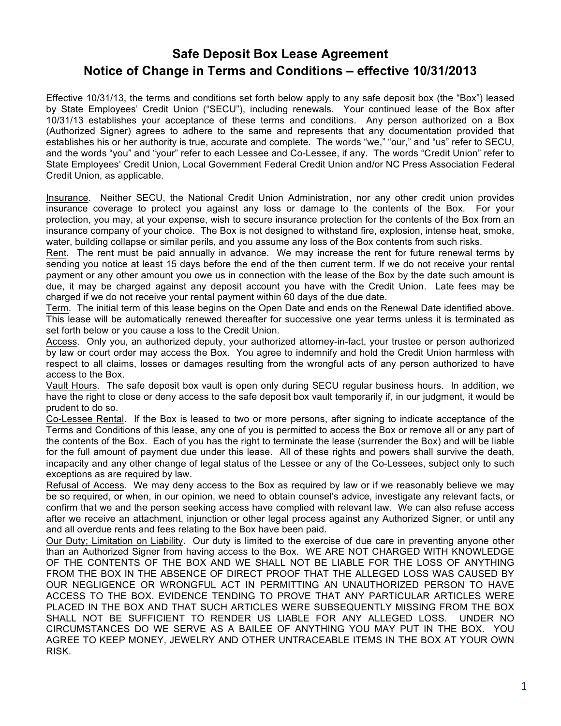## **Safe Deposit Box Lease Agreement Notice of Change in Terms and Conditions – effective 10/31/2013**

Effective 10/31/13, the terms and conditions set forth below apply to any safe deposit box (the "Box") leased by State Employees' Credit Union ("SECU"), including renewals. Your continued lease of the Box after 10/31/13 establishes your acceptance of these terms and conditions. Any person authorized on a Box (Authorized Signer) agrees to adhere to the same and represents that any documentation provided that establishes his or her authority is true, accurate and complete. The words "we," "our," and "us" refer to SECU, and the words "you" and "your" refer to each Lessee and Co-Lessee, if any. The words "Credit Union" refer to State Employees' Credit Union, Local Government Federal Credit Union and/or NC Press Association Federal Credit Union, as applicable.

Insurance. Neither SECU, the National Credit Union Administration, nor any other credit union provides insurance coverage to protect you against any loss or damage to the contents of the Box. For your protection, you may, at your expense, wish to secure insurance protection for the contents of the Box from an insurance company of your choice. The Box is not designed to withstand fire, explosion, intense heat, smoke, water, building collapse or similar perils, and you assume any loss of the Box contents from such risks.

Rent. The rent must be paid annually in advance. We may increase the rent for future renewal terms by sending you notice at least 15 days before the end of the then current term. If we do not receive your rental payment or any other amount you owe us in connection with the lease of the Box by the date such amount is due, it may be charged against any deposit account you have with the Credit Union. Late fees may be charged if we do not receive your rental payment within 60 days of the due date.

Term. The initial term of this lease begins on the Open Date and ends on the Renewal Date identified above. This lease will be automatically renewed thereafter for successive one year terms unless it is terminated as set forth below or you cause a loss to the Credit Union.

Access. Only you, an authorized deputy, your authorized attorney-in-fact, your trustee or person authorized by law or court order may access the Box. You agree to indemnify and hold the Credit Union harmless with respect to all claims, losses or damages resulting from the wrongful acts of any person authorized to have access to the Box.

Vault Hours. The safe deposit box vault is open only during SECU regular business hours. In addition, we have the right to close or deny access to the safe deposit box vault temporarily if, in our judgment, it would be prudent to do so.

Co-Lessee Rental. If the Box is leased to two or more persons, after signing to indicate acceptance of the Terms and Conditions of this lease, any one of you is permitted to access the Box or remove all or any part of the contents of the Box. Each of you has the right to terminate the lease (surrender the Box) and will be liable for the full amount of payment due under this lease. All of these rights and powers shall survive the death, incapacity and any other change of legal status of the Lessee or any of the Co-Lessees, subject only to such exceptions as are required by law.

Refusal of Access. We may deny access to the Box as required by law or if we reasonably believe we may be so required, or when, in our opinion, we need to obtain counsel's advice, investigate any relevant facts, or confirm that we and the person seeking access have complied with relevant law. We can also refuse access after we receive an attachment, injunction or other legal process against any Authorized Signer, or until any and all overdue rents and fees relating to the Box have been paid.

Our Duty; Limitation on Liability. Our duty is limited to the exercise of due care in preventing anyone other than an Authorized Signer from having access to the Box. WE ARE NOT CHARGED WITH KNOWLEDGE OF THE CONTENTS OF THE BOX AND WE SHALL NOT BE LIABLE FOR THE LOSS OF ANYTHING FROM THE BOX IN THE ABSENCE OF DIRECT PROOF THAT THE ALLEGED LOSS WAS CAUSED BY OUR NEGLIGENCE OR WRONGFUL ACT IN PERMITTING AN UNAUTHORIZED PERSON TO HAVE ACCESS TO THE BOX. EVIDENCE TENDING TO PROVE THAT ANY PARTICULAR ARTICLES WERE PLACED IN THE BOX AND THAT SUCH ARTICLES WERE SUBSEQUENTLY MISSING FROM THE BOX SHALL NOT BE SUFFICIENT TO RENDER US LIABLE FOR ANY ALLEGED LOSS. UNDER NO CIRCUMSTANCES DO WE SERVE AS A BAILEE OF ANYTHING YOU MAY PUT IN THE BOX. YOU AGREE TO KEEP MONEY, JEWELRY AND OTHER UNTRACEABLE ITEMS IN THE BOX AT YOUR OWN RISK.